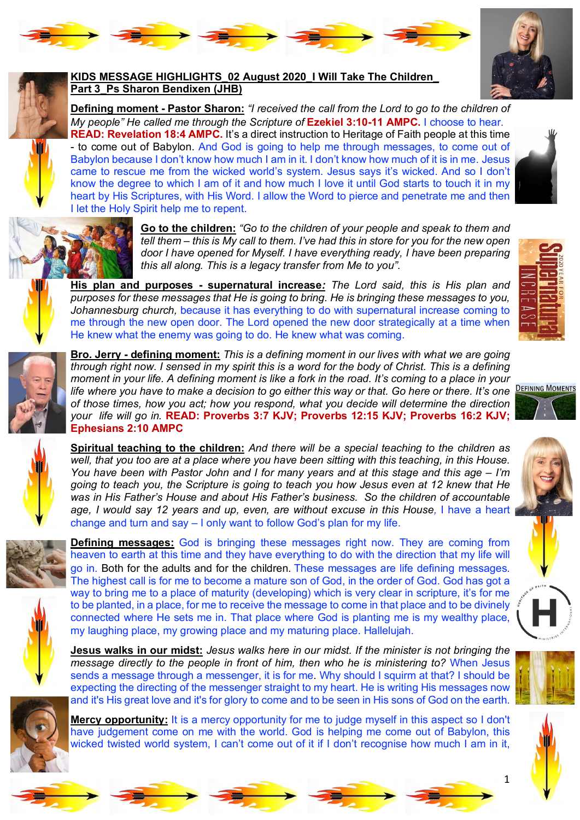



## **Part 3\_Ps Sharon Bendixen (JHB)**

**Defining moment - Pastor Sharon:** *"I received the call from the Lord to go to the children of My people" He called me through the Scripture of Ezekiel 3:10-11 AMPC. I choose to hear.* 

**READ: Revelation 18:4 AMPC.** It's a direct instruction to Heritage of Faith people at this time - to come out of Babylon. And God is going to help me through messages, to come out of Babylon because I don't know how much I am in it. I don't know how much of it is in me. Jesus came to rescue me from the wicked world's system. Jesus says it's wicked. And so I don't know the degree to which I am of it and how much I love it until God starts to touch it in my heart by His Scriptures, with His Word. I allow the Word to pierce and penetrate me and then I let the Holy Spirit help me to repent.





**Go to the children:** *"Go to the children of your people and speak to them and tell them – this is My call to them. I've had this in store for you for the new open door I have opened for Myself. I have everything ready, I have been preparing this all along. This is a legacy transfer from Me to you".* 



**His plan and purposes - supernatural increase***: The Lord said, this is His plan and purposes for these messages that He is going to bring. He is bringing these messages to you, Johannesburg church,* because it has everything to do with supernatural increase coming to me through the new open door. The Lord opened the new door strategically at a time when He knew what the enemy was going to do. He knew what was coming.



**Bro. Jerry - defining moment:** *This is a defining moment in our lives with what we are going through right now. I sensed in my spirit this is a word for the body of Christ. This is a defining moment in your life. A defining moment is like a fork in the road. It's coming to a place in your life where you have to make a decision to go either this way or that. Go here or there. It's one* **DEFINING MOMENTS** *of those times, how you act; how you respond, what you decide will determine the direction your life will go in.* **READ: Proverbs 3:7 KJV; Proverbs 12:15 KJV; Proverbs 16:2 KJV; Ephesians 2:10 AMPC**



**Spiritual teaching to the children:** *And there will be a special teaching to the children as well, that you too are at a place where you have been sitting with this teaching, in this House. You have been with Pastor John and I for many years and at this stage and this age – I'm going to teach you, the Scripture is going to teach you how Jesus even at 12 knew that He was in His Father's House and about His Father's business. So the children of accountable age, I would say 12 years and up, even, are without excuse in this House,* I have a heart change and turn and say – I only want to follow God's plan for my life.





**Defining messages:** God is bringing these messages right now. They are coming from heaven to earth at this time and they have everything to do with the direction that my life will go in. Both for the adults and for the children. These messages are life defining messages. The highest call is for me to become a mature son of God, in the order of God. God has got a way to bring me to a place of maturity (developing) which is very clear in scripture, it's for me to be planted, in a place, for me to receive the message to come in that place and to be divinely connected where He sets me in. That place where God is planting me is my wealthy place, my laughing place, my growing place and my maturing place. Hallelujah.

**Jesus walks in our midst:** *Jesus walks here in our midst. If the minister is not bringing the message directly to the people in front of him, then who he is ministering to?* When Jesus sends a message through a messenger, it is for me. Why should I squirm at that? I should be expecting the directing of the messenger straight to my heart. He is writing His messages now and it's His great love and it's for glory to come and to be seen in His sons of God on the earth.



**Mercy opportunity:** It is a mercy opportunity for me to judge myself in this aspect so I don't have judgement come on me with the world. God is helping me come out of Babylon, this wicked twisted world system, I can't come out of it if I don't recognise how much I am in it,